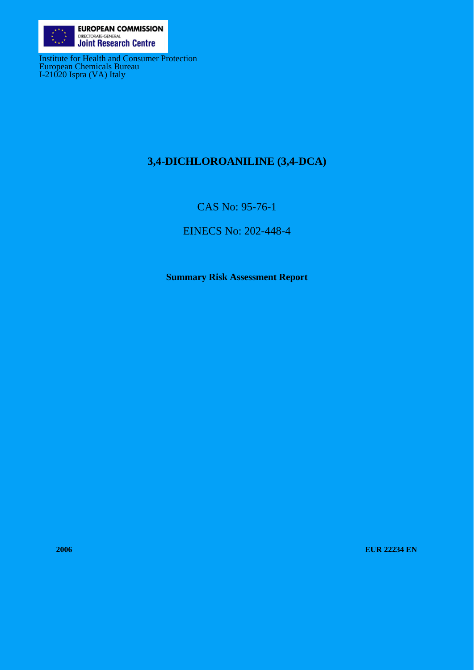

Institute for Health and Consumer Protection European Chemicals Bureau I-21020 Ispra (VA) Italy

# **3,4-DICHLOROANILINE (3,4-DCA)**

CAS No: 95-76-1

EINECS No: 202-448-4

**Summary Risk Assessment Report** 

**2006 EUR 22234 EN**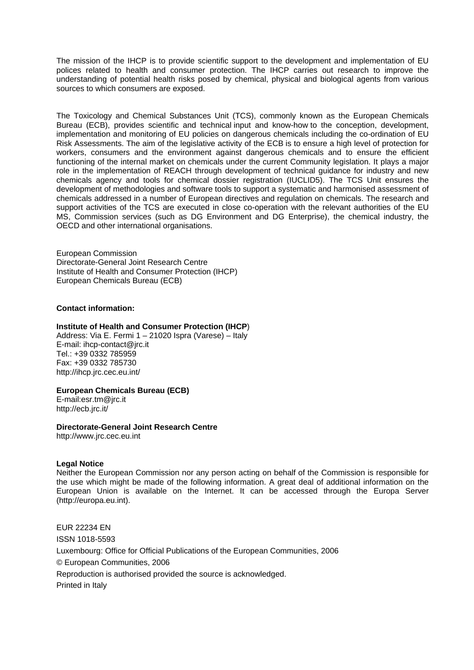The mission of the IHCP is to provide scientific support to the development and implementation of EU polices related to health and consumer protection. The IHCP carries out research to improve the understanding of potential health risks posed by chemical, physical and biological agents from various sources to which consumers are exposed.

The Toxicology and Chemical Substances Unit (TCS), commonly known as the European Chemicals Bureau (ECB), provides scientific and technical input and know-how to the conception, development, implementation and monitoring of EU policies on dangerous chemicals including the co-ordination of EU Risk Assessments. The aim of the legislative activity of the ECB is to ensure a high level of protection for workers, consumers and the environment against dangerous chemicals and to ensure the efficient functioning of the internal market on chemicals under the current Community legislation. It plays a major role in the implementation of REACH through development of technical guidance for industry and new chemicals agency and tools for chemical dossier registration (IUCLID5). The TCS Unit ensures the development of methodologies and software tools to support a systematic and harmonised assessment of chemicals addressed in a number of European directives and regulation on chemicals. The research and support activities of the TCS are executed in close co-operation with the relevant authorities of the EU MS, Commission services (such as DG Environment and DG Enterprise), the chemical industry, the OECD and other international organisations.

European Commission Directorate-General Joint Research Centre Institute of Health and Consumer Protection (IHCP) European Chemicals Bureau (ECB)

#### **Contact information:**

#### **Institute of Health and Consumer Protection (IHCP**)

Address: Via E. Fermi 1 – 21020 Ispra (Varese) – Italy E-mail: ihcp-contact@jrc.it Tel.: +39 0332 785959 Fax: +39 0332 785730 http://ihcp.jrc.cec.eu.int/

#### **European Chemicals Bureau (ECB)**

E-mail:esr.tm@jrc.it http://ecb.jrc.it/

#### **Directorate-General Joint Research Centre**

http://www.jrc.cec.eu.int

#### **Legal Notice**

Neither the European Commission nor any person acting on behalf of the Commission is responsible for the use which might be made of the following information. A great deal of additional information on the European Union is available on the Internet. It can be accessed through the Europa Server (http://europa.eu.int).

EUR 22234 EN ISSN 1018-5593 Luxembourg: Office for Official Publications of the European Communities, 2006 © European Communities, 2006 Reproduction is authorised provided the source is acknowledged. Printed in Italy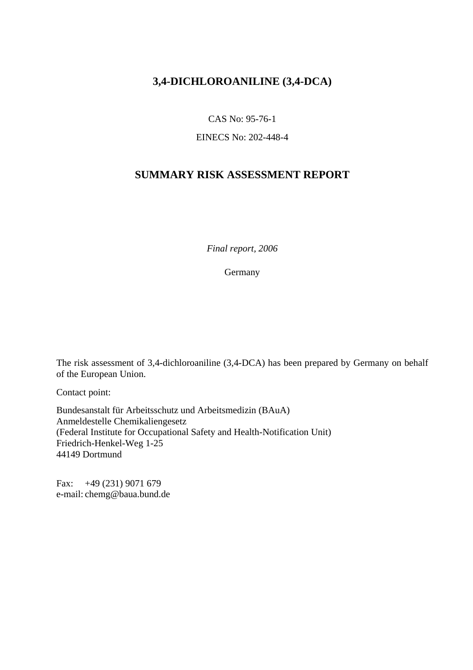# **3,4-DICHLOROANILINE (3,4-DCA)**

CAS No: 95-76-1

EINECS No: 202-448-4

# **SUMMARY RISK ASSESSMENT REPORT**

*Final report, 2006*

Germany

The risk assessment of 3,4-dichloroaniline (3,4-DCA) has been prepared by Germany on behalf of the European Union.

Contact point:

Bundesanstalt für Arbeitsschutz und Arbeitsmedizin (BAuA) Anmeldestelle Chemikaliengesetz (Federal Institute for Occupational Safety and Health-Notification Unit) Friedrich-Henkel-Weg 1-25 44149 Dortmund

Fax: +49 (231) 9071 679 e-mail: chemg@baua.bund.de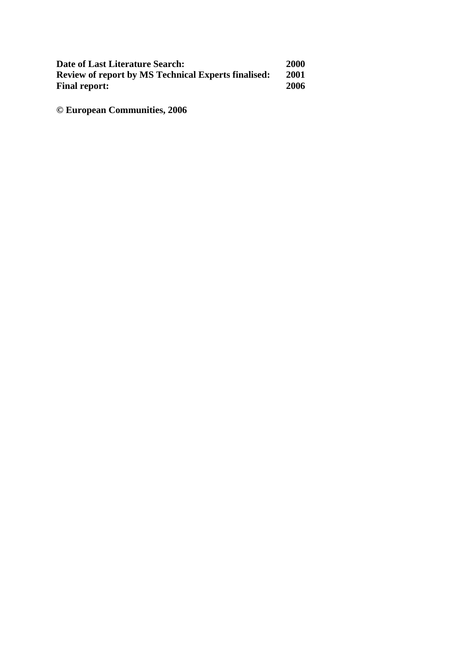| Date of Last Literature Search:                            | <b>2000</b> |
|------------------------------------------------------------|-------------|
| <b>Review of report by MS Technical Experts finalised:</b> | 2001        |
| <b>Final report:</b>                                       | 2006        |

**© European Communities, 2006**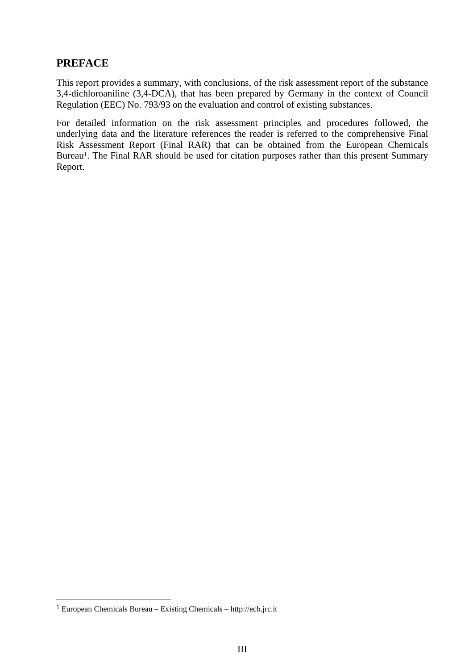## **PREFACE**

This report provides a summary, with conclusions, of the risk assessment report of the substance 3,4-dichloroaniline (3,4-DCA), that has been prepared by Germany in the context of Council Regulation (EEC) No. 793/93 on the evaluation and control of existing substances.

For detailed information on the risk assessment principles and procedures followed, the underlying data and the literature references the reader is referred to the comprehensive Final Risk Assessment Report (Final RAR) that can be obtained from the European Chemicals Bureau<sup>1</sup>. The Final RAR should be used for citation purposes rather than this present Summary Report.

 $\overline{a}$ 

<sup>&</sup>lt;sup>1</sup> European Chemicals Bureau – Existing Chemicals – http://ecb.jrc.it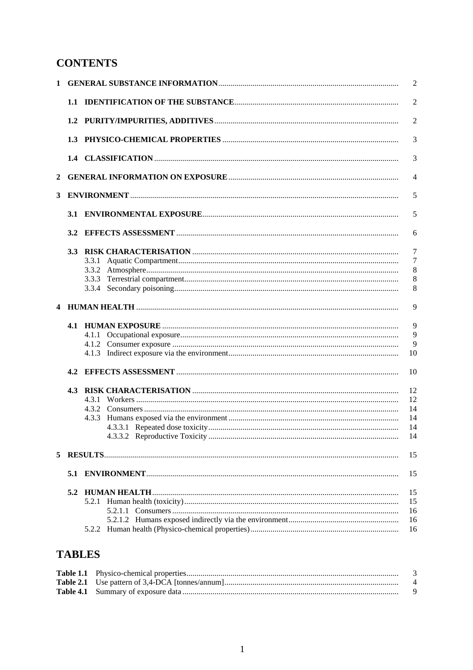# **CONTENTS**

| $\mathbf{1}$ |     |       | $\overline{2}$ |
|--------------|-----|-------|----------------|
|              |     |       | $\overline{2}$ |
|              |     |       | $\overline{2}$ |
|              |     |       | 3              |
|              |     |       | 3              |
| 2            |     |       | $\overline{4}$ |
| 3            |     |       | 5              |
|              |     |       | 5              |
|              |     |       | 6              |
|              | 3.3 |       | 7              |
|              |     |       | 7              |
|              |     |       | 8              |
|              |     |       | 8              |
|              |     |       | 8              |
|              |     |       | 9              |
|              |     |       | 9              |
|              |     |       | 9              |
|              |     |       | 9              |
|              |     |       | 10             |
|              | 4.2 |       | 10             |
|              |     |       | 12             |
|              |     |       | 12             |
|              |     |       | 14             |
|              |     | 4.3.3 | 14             |
|              |     |       | 14<br>14       |
| 5            |     |       | 15             |
|              |     |       | 15             |
|              |     |       | 15             |
|              |     |       | 15             |
|              |     |       | 16             |
|              |     |       | 16             |
|              |     |       | 16             |
|              |     |       |                |

# **TABLES**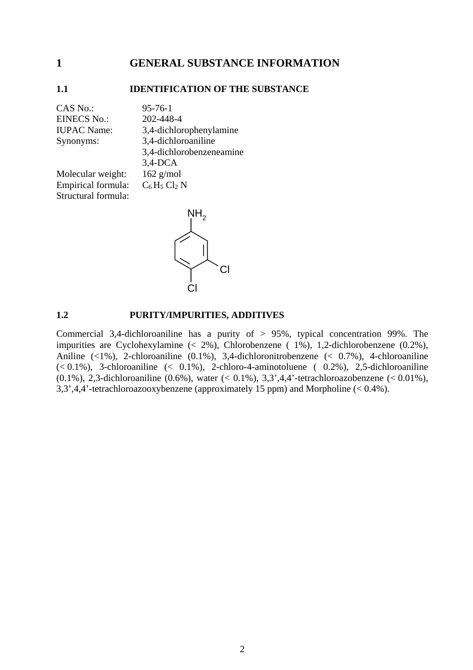### <span id="page-8-0"></span>**1 GENERAL SUBSTANCE INFORMATION**

#### <span id="page-8-1"></span>**1.1 IDENTIFICATION OF THE SUBSTANCE**

CAS No.: 95-76-1 EINECS No.: 202-448-4 IUPAC Name: 3,4-dichlorophenylamine Synonyms: 3,4-dichloroaniline 3,4-dichlorobenzeneamine 3,4-DCA Molecular weight: 162 g/mol Empirical formula:  $C_6 H_5 Cl_2 N$ Structural formula:



#### <span id="page-8-2"></span>**1.2 PURITY/IMPURITIES, ADDITIVES**

Commercial 3,4-dichloroaniline has a purity of > 95%, typical concentration 99%. The impurities are Cyclohexylamine (< 2%), Chlorobenzene ( 1%), 1,2-dichlorobenzene (0.2%), Aniline (<1%), 2-chloroaniline (0.1%), 3,4-dichloronitrobenzene (< 0.7%), 4-chloroaniline  $(< 0.1\%)$ , 3-chloroaniline  $(< 0.1\%)$ , 2-chloro-4-aminotoluene  $(0.2\%)$ , 2,5-dichloroaniline (0.1%), 2,3-dichloroaniline (0.6%), water (< 0.1%), 3,3',4,4'-tetrachloroazobenzene (< 0.01%), 3,3',4,4'-tetrachloroazooxybenzene (approximately 15 ppm) and Morpholine (< 0.4%).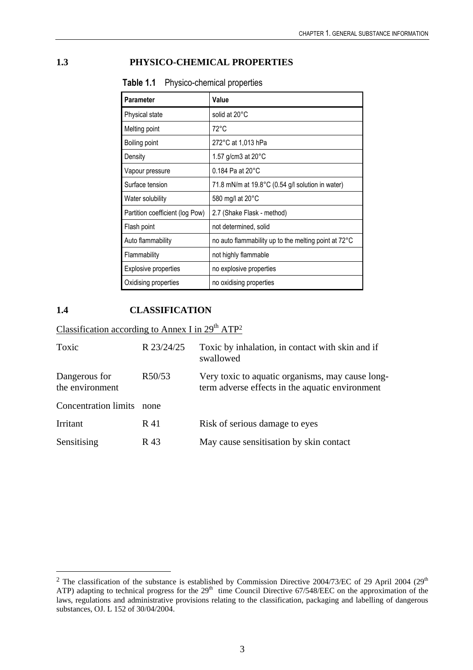## <span id="page-9-2"></span><span id="page-9-0"></span>**1.3 PHYSICO-CHEMICAL PROPERTIES**

| <b>Parameter</b>                | Value                                                |
|---------------------------------|------------------------------------------------------|
| Physical state                  | solid at 20°C                                        |
| Melting point                   | $72^{\circ}$ C                                       |
| Boiling point                   | 272°C at 1,013 hPa                                   |
| Density                         | 1.57 g/cm3 at $20^{\circ}$ C                         |
| Vapour pressure                 | $0.184$ Pa at $20^{\circ}$ C                         |
| Surface tension                 | 71.8 mN/m at 19.8°C (0.54 g/l solution in water)     |
| Water solubility                | 580 mg/l at 20°C                                     |
| Partition coefficient (log Pow) | 2.7 (Shake Flask - method)                           |
| Flash point                     | not determined, solid                                |
| Auto flammability               | no auto flammability up to the melting point at 72°C |
| Flammability                    | not highly flammable                                 |
| <b>Explosive properties</b>     | no explosive properties                              |
| Oxidising properties            | no oxidising properties                              |

**Table 1.1** Physico-chemical properties

### <span id="page-9-1"></span>**1.4 CLASSIFICATION**

 $\overline{a}$ 

Classification according to Annex I in  $29<sup>th</sup> ATP<sup>2</sup>$ 

| Toxic                            | R 23/24/25 | Toxic by inhalation, in contact with skin and if<br>swallowed                                       |
|----------------------------------|------------|-----------------------------------------------------------------------------------------------------|
| Dangerous for<br>the environment | R50/53     | Very toxic to aquatic organisms, may cause long-<br>term adverse effects in the aquatic environment |
| <b>Concentration limits</b>      | none       |                                                                                                     |
| <b>Irritant</b>                  | R 41       | Risk of serious damage to eyes                                                                      |
| Sensitising                      | R 43       | May cause sensitisation by skin contact                                                             |

<sup>&</sup>lt;sup>2</sup> The classification of the substance is established by Commission Directive 2004/73/EC of 29 April 2004 (29<sup>th</sup> ATP) adapting to technical progress for the  $29<sup>th</sup>$  time Council Directive 67/548/EEC on the approximation of the laws, regulations and administrative provisions relating to the classification, packaging and labelling of dangerous substances, OJ. L 152 of 30/04/2004.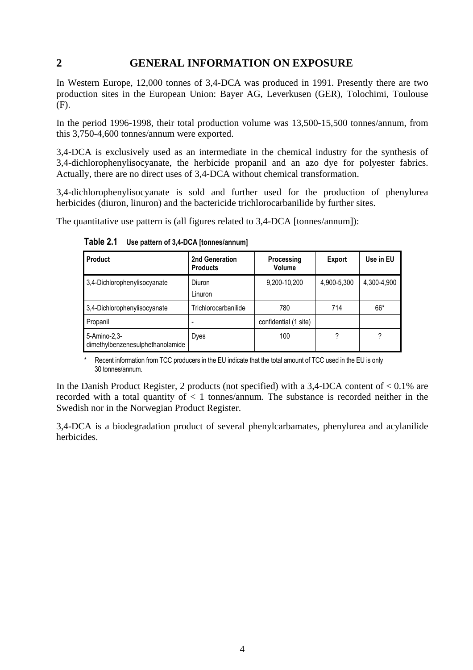## <span id="page-10-0"></span>**2 GENERAL INFORMATION ON EXPOSURE**

In Western Europe, 12,000 tonnes of 3,4-DCA was produced in 1991. Presently there are two production sites in the European Union: Bayer AG, Leverkusen (GER), Tolochimi, Toulouse (F).

In the period 1996-1998, their total production volume was 13,500-15,500 tonnes/annum, from this 3,750-4,600 tonnes/annum were exported.

3,4-DCA is exclusively used as an intermediate in the chemical industry for the synthesis of 3,4-dichlorophenylisocyanate, the herbicide propanil and an azo dye for polyester fabrics. Actually, there are no direct uses of 3,4-DCA without chemical transformation.

3,4-dichlorophenylisocyanate is sold and further used for the production of phenylurea herbicides (diuron, linuron) and the bactericide trichlorocarbanilide by further sites.

<span id="page-10-1"></span>The quantitative use pattern is (all figures related to 3,4-DCA [tonnes/annum]):

| <b>Product</b>                                   | 2nd Generation<br><b>Products</b> | Processing<br>Volume  | <b>Export</b> | Use in EU   |
|--------------------------------------------------|-----------------------------------|-----------------------|---------------|-------------|
| 3,4-Dichlorophenylisocyanate                     | Diuron<br>Linuron                 | 9,200-10,200          | 4,900-5,300   | 4.300-4.900 |
| 3,4-Dichlorophenylisocyanate                     | Trichlorocarbanilide              | 780                   | 714           | 66*         |
| Propanil                                         |                                   | confidential (1 site) |               |             |
| 5-Amino-2,3-<br>dimethylbenzenesulphethanolamide | Dyes                              | 100                   |               |             |

**Table 2.1 Use pattern of 3,4-DCA [tonnes/annum]**

Recent information from TCC producers in the EU indicate that the total amount of TCC used in the EU is only 30 tonnes/annum.

In the Danish Product Register, 2 products (not specified) with a 3,4-DCA content of  $< 0.1\%$  are recorded with a total quantity of  $\lt 1$  tonnes/annum. The substance is recorded neither in the Swedish nor in the Norwegian Product Register.

3,4-DCA is a biodegradation product of several phenylcarbamates, phenylurea and acylanilide herbicides.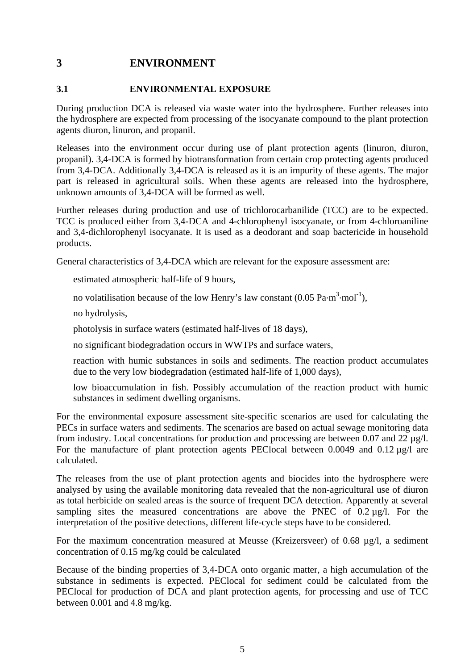# <span id="page-11-0"></span>**3 ENVIRONMENT**

#### <span id="page-11-1"></span>**3.1 ENVIRONMENTAL EXPOSURE**

During production DCA is released via waste water into the hydrosphere. Further releases into the hydrosphere are expected from processing of the isocyanate compound to the plant protection agents diuron, linuron, and propanil.

Releases into the environment occur during use of plant protection agents (linuron, diuron, propanil). 3,4-DCA is formed by biotransformation from certain crop protecting agents produced from 3,4-DCA. Additionally 3,4-DCA is released as it is an impurity of these agents. The major part is released in agricultural soils. When these agents are released into the hydrosphere, unknown amounts of 3,4-DCA will be formed as well.

Further releases during production and use of trichlorocarbanilide (TCC) are to be expected. TCC is produced either from 3,4-DCA and 4-chlorophenyl isocyanate, or from 4-chloroaniline and 3,4-dichlorophenyl isocyanate. It is used as a deodorant and soap bactericide in household products.

General characteristics of 3,4-DCA which are relevant for the exposure assessment are:

estimated atmospheric half-life of 9 hours,

no volatilisation because of the low Henry's law constant  $(0.05 \text{ Pa} \cdot \text{m}^3 \cdot \text{mol}^{-1})$ ,

no hydrolysis,

photolysis in surface waters (estimated half-lives of 18 days),

no significant biodegradation occurs in WWTPs and surface waters,

reaction with humic substances in soils and sediments. The reaction product accumulates due to the very low biodegradation (estimated half-life of 1,000 days),

low bioaccumulation in fish. Possibly accumulation of the reaction product with humic substances in sediment dwelling organisms.

For the environmental exposure assessment site-specific scenarios are used for calculating the PECs in surface waters and sediments. The scenarios are based on actual sewage monitoring data from industry. Local concentrations for production and processing are between 0.07 and 22  $\mu$ g/l. For the manufacture of plant protection agents PEClocal between 0.0049 and 0.12  $\mu$ g/l are calculated.

The releases from the use of plant protection agents and biocides into the hydrosphere were analysed by using the available monitoring data revealed that the non-agricultural use of diuron as total herbicide on sealed areas is the source of frequent DCA detection. Apparently at several sampling sites the measured concentrations are above the PNEC of  $0.2 \mu g/l$ . For the interpretation of the positive detections, different life-cycle steps have to be considered.

For the maximum concentration measured at Meusse (Kreizersveer) of 0.68 µg/l, a sediment concentration of 0.15 mg/kg could be calculated

Because of the binding properties of 3,4-DCA onto organic matter, a high accumulation of the substance in sediments is expected. PEClocal for sediment could be calculated from the PEClocal for production of DCA and plant protection agents, for processing and use of TCC between 0.001 and 4.8 mg/kg.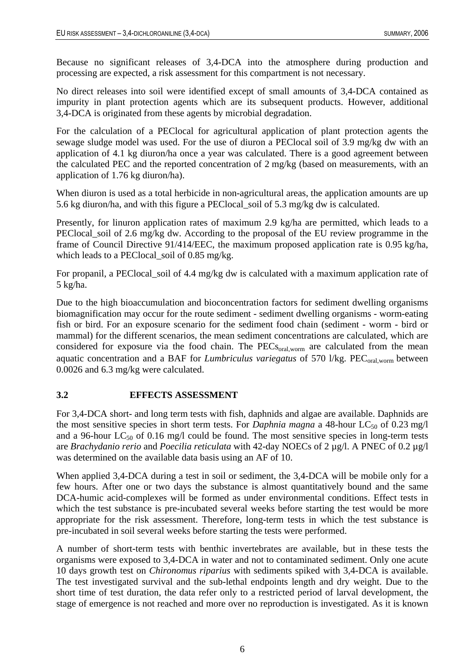Because no significant releases of 3,4-DCA into the atmosphere during production and processing are expected, a risk assessment for this compartment is not necessary.

No direct releases into soil were identified except of small amounts of 3,4-DCA contained as impurity in plant protection agents which are its subsequent products. However, additional 3,4-DCA is originated from these agents by microbial degradation.

For the calculation of a PEClocal for agricultural application of plant protection agents the sewage sludge model was used. For the use of diuron a PEClocal soil of 3.9 mg/kg dw with an application of 4.1 kg diuron/ha once a year was calculated. There is a good agreement between the calculated PEC and the reported concentration of 2 mg/kg (based on measurements, with an application of 1.76 kg diuron/ha).

When diuron is used as a total herbicide in non-agricultural areas, the application amounts are up 5.6 kg diuron/ha, and with this figure a PEClocal\_soil of 5.3 mg/kg dw is calculated.

Presently, for linuron application rates of maximum 2.9 kg/ha are permitted, which leads to a PEClocal soil of 2.6 mg/kg dw. According to the proposal of the EU review programme in the frame of Council Directive 91/414/EEC, the maximum proposed application rate is 0.95 kg/ha, which leads to a PEClocal\_soil of 0.85 mg/kg.

For propanil, a PEClocal\_soil of 4.4 mg/kg dw is calculated with a maximum application rate of 5 kg/ha.

Due to the high bioaccumulation and bioconcentration factors for sediment dwelling organisms biomagnification may occur for the route sediment - sediment dwelling organisms - worm-eating fish or bird. For an exposure scenario for the sediment food chain (sediment - worm - bird or mammal) for the different scenarios, the mean sediment concentrations are calculated, which are considered for exposure via the food chain. The PECs<sub>oral,worm</sub> are calculated from the mean aquatic concentration and a BAF for *Lumbriculus variegatus* of 570 l/kg. PEC<sub>oral,worm</sub> between 0.0026 and 6.3 mg/kg were calculated.

### <span id="page-12-0"></span>**3.2 EFFECTS ASSESSMENT**

For 3,4-DCA short- and long term tests with fish, daphnids and algae are available. Daphnids are the most sensitive species in short term tests. For *Daphnia magna* a 48-hour  $LC_{50}$  of 0.23 mg/l and a 96-hour  $LC_{50}$  of 0.16 mg/l could be found. The most sensitive species in long-term tests are *Brachydanio rerio* and *Poecilia reticulata* with 42-day NOECs of 2 µg/l. A PNEC of 0.2 µg/l was determined on the available data basis using an AF of 10.

When applied 3,4-DCA during a test in soil or sediment, the 3,4-DCA will be mobile only for a few hours. After one or two days the substance is almost quantitatively bound and the same DCA-humic acid-complexes will be formed as under environmental conditions. Effect tests in which the test substance is pre-incubated several weeks before starting the test would be more appropriate for the risk assessment. Therefore, long-term tests in which the test substance is pre-incubated in soil several weeks before starting the tests were performed.

A number of short-term tests with benthic invertebrates are available, but in these tests the organisms were exposed to 3,4-DCA in water and not to contaminated sediment. Only one acute 10 days growth test on *Chironomus riparius* with sediments spiked with 3,4-DCA is available. The test investigated survival and the sub-lethal endpoints length and dry weight. Due to the short time of test duration, the data refer only to a restricted period of larval development, the stage of emergence is not reached and more over no reproduction is investigated. As it is known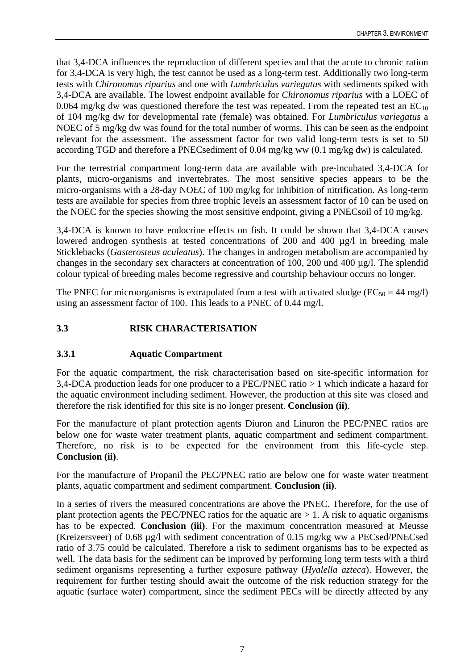that 3,4-DCA influences the reproduction of different species and that the acute to chronic ration for 3,4-DCA is very high, the test cannot be used as a long-term test. Additionally two long-term tests with *Chironomus riparius* and one with *Lumbriculus variegatus* with sediments spiked with 3,4-DCA are available. The lowest endpoint available for *Chironomus riparius* with a LOEC of 0.064 mg/kg dw was questioned therefore the test was repeated. From the repeated test an  $EC_{10}$ of 104 mg/kg dw for developmental rate (female) was obtained. For *Lumbriculus variegatus* a NOEC of 5 mg/kg dw was found for the total number of worms. This can be seen as the endpoint relevant for the assessment. The assessment factor for two valid long-term tests is set to 50 according TGD and therefore a PNECsediment of 0.04 mg/kg ww (0.1 mg/kg dw) is calculated.

For the terrestrial compartment long-term data are available with pre-incubated 3,4-DCA for plants, micro-organisms and invertebrates. The most sensitive species appears to be the micro-organisms with a 28-day NOEC of 100 mg/kg for inhibition of nitrification. As long-term tests are available for species from three trophic levels an assessment factor of 10 can be used on the NOEC for the species showing the most sensitive endpoint, giving a PNECsoil of 10 mg/kg.

3,4-DCA is known to have endocrine effects on fish. It could be shown that 3,4-DCA causes lowered androgen synthesis at tested concentrations of 200 and 400 µg/l in breeding male Sticklebacks (*Gasterosteus aculeatus*). The changes in androgen metabolism are accompanied by changes in the secondary sex characters at concentration of 100, 200 und 400 µg/l. The splendid colour typical of breeding males become regressive and courtship behaviour occurs no longer.

The PNEC for microorganisms is extrapolated from a test with activated sludge ( $EC_{50} = 44$  mg/l) using an assessment factor of 100. This leads to a PNEC of 0.44 mg/l.

## <span id="page-13-0"></span>**3.3 RISK CHARACTERISATION**

### <span id="page-13-1"></span>**3.3.1 Aquatic Compartment**

For the aquatic compartment, the risk characterisation based on site-specific information for 3,4-DCA production leads for one producer to a PEC/PNEC ratio > 1 which indicate a hazard for the aquatic environment including sediment. However, the production at this site was closed and therefore the risk identified for this site is no longer present. **Conclusion (ii)**.

For the manufacture of plant protection agents Diuron and Linuron the PEC/PNEC ratios are below one for waste water treatment plants, aquatic compartment and sediment compartment. Therefore, no risk is to be expected for the environment from this life-cycle step. **Conclusion (ii)**.

For the manufacture of Propanil the PEC/PNEC ratio are below one for waste water treatment plants, aquatic compartment and sediment compartment. **Conclusion (ii)**.

In a series of rivers the measured concentrations are above the PNEC. Therefore, for the use of plant protection agents the PEC/PNEC ratios for the aquatic are  $> 1$ . A risk to aquatic organisms has to be expected. **Conclusion (iii)**. For the maximum concentration measured at Meusse (Kreizersveer) of 0.68 µg/l with sediment concentration of 0.15 mg/kg ww a PECsed/PNECsed ratio of 3.75 could be calculated. Therefore a risk to sediment organisms has to be expected as well. The data basis for the sediment can be improved by performing long term tests with a third sediment organisms representing a further exposure pathway (*Hyalella azteca*). However, the requirement for further testing should await the outcome of the risk reduction strategy for the aquatic (surface water) compartment, since the sediment PECs will be directly affected by any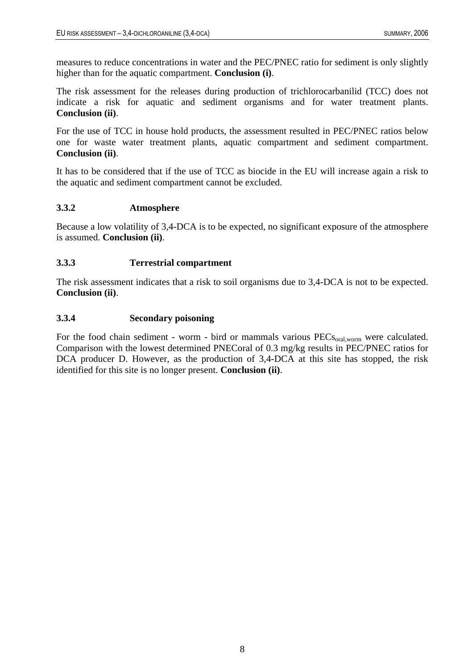measures to reduce concentrations in water and the PEC/PNEC ratio for sediment is only slightly higher than for the aquatic compartment. **Conclusion (i)**.

The risk assessment for the releases during production of trichlorocarbanilid (TCC) does not indicate a risk for aquatic and sediment organisms and for water treatment plants. **Conclusion (ii)**.

For the use of TCC in house hold products, the assessment resulted in PEC/PNEC ratios below one for waste water treatment plants, aquatic compartment and sediment compartment. **Conclusion (ii)**.

It has to be considered that if the use of TCC as biocide in the EU will increase again a risk to the aquatic and sediment compartment cannot be excluded.

### <span id="page-14-0"></span>**3.3.2 Atmosphere**

Because a low volatility of 3,4-DCA is to be expected, no significant exposure of the atmosphere is assumed. **Conclusion (ii)**.

### <span id="page-14-1"></span>**3.3.3 Terrestrial compartment**

The risk assessment indicates that a risk to soil organisms due to 3,4-DCA is not to be expected. **Conclusion (ii)**.

### <span id="page-14-2"></span>**3.3.4 Secondary poisoning**

For the food chain sediment - worm - bird or mammals various PECs<sub>oral, worm</sub> were calculated. Comparison with the lowest determined PNECoral of 0.3 mg/kg results in PEC/PNEC ratios for DCA producer D. However, as the production of 3,4-DCA at this site has stopped, the risk identified for this site is no longer present. **Conclusion (ii)**.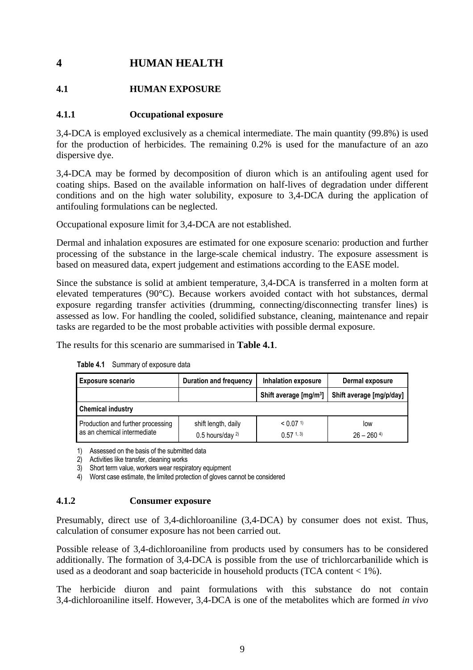# <span id="page-15-0"></span>**4 HUMAN HEALTH**

## <span id="page-15-1"></span>**4.1 HUMAN EXPOSURE**

## <span id="page-15-2"></span>**4.1.1 Occupational exposure**

3,4-DCA is employed exclusively as a chemical intermediate. The main quantity (99.8%) is used for the production of herbicides. The remaining 0.2% is used for the manufacture of an azo dispersive dye.

3,4-DCA may be formed by decomposition of diuron which is an antifouling agent used for coating ships. Based on the available information on half-lives of degradation under different conditions and on the high water solubility, exposure to 3,4-DCA during the application of antifouling formulations can be neglected.

Occupational exposure limit for 3,4-DCA are not established.

Dermal and inhalation exposures are estimated for one exposure scenario: production and further processing of the substance in the large-scale chemical industry. The exposure assessment is based on measured data, expert judgement and estimations according to the EASE model.

Since the substance is solid at ambient temperature, 3,4-DCA is transferred in a molten form at elevated temperatures (90°C). Because workers avoided contact with hot substances, dermal exposure regarding transfer activities (drumming, connecting/disconnecting transfer lines) is assessed as low. For handling the cooled, solidified substance, cleaning, maintenance and repair tasks are regarded to be the most probable activities with possible dermal exposure.

<span id="page-15-4"></span>The results for this scenario are summarised in **Table 4.1**.

| <b>Exposure scenario</b>                                         | Duration and frequency                         | Inhalation exposure                               | Dermal exposure                 |  |  |  |
|------------------------------------------------------------------|------------------------------------------------|---------------------------------------------------|---------------------------------|--|--|--|
|                                                                  |                                                | Shift average [mg/m <sup>3</sup> ]                | Shift average [mg/p/day]        |  |  |  |
| <b>Chemical industry</b>                                         |                                                |                                                   |                                 |  |  |  |
| Production and further processing<br>as an chemical intermediate | shift length, daily<br>$0.5$ hours/day $^{2)}$ | $< 0.07$ <sup>1)</sup><br>$0.57$ <sup>1, 3)</sup> | low<br>$26 - 260$ <sup>4)</sup> |  |  |  |

**Table 4.1** Summary of exposure data

1) Assessed on the basis of the submitted data

2) Activities like transfer, cleaning works

3) Short term value, workers wear respiratory equipment

4) Worst case estimate, the limited protection of gloves cannot be considered

#### <span id="page-15-3"></span>**4.1.2 Consumer exposure**

Presumably, direct use of 3,4-dichloroaniline (3,4-DCA) by consumer does not exist. Thus, calculation of consumer exposure has not been carried out.

Possible release of 3,4-dichloroaniline from products used by consumers has to be considered additionally. The formation of 3,4-DCA is possible from the use of trichlorcarbanilide which is used as a deodorant and soap bactericide in household products (TCA content < 1%).

The herbicide diuron and paint formulations with this substance do not contain 3,4-dichloroaniline itself. However, 3,4-DCA is one of the metabolites which are formed *in vivo*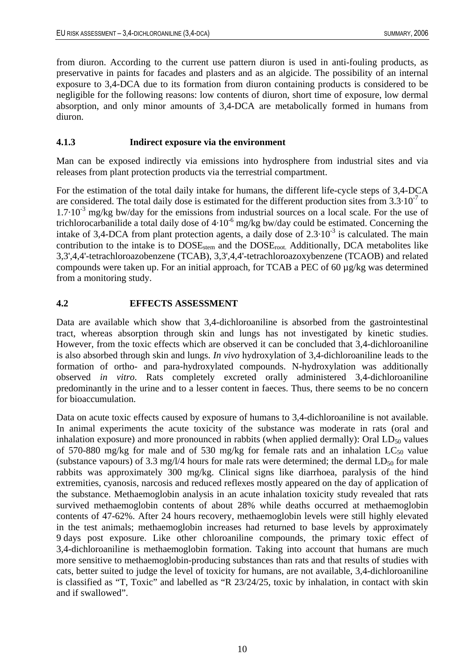from diuron. According to the current use pattern diuron is used in anti-fouling products, as preservative in paints for facades and plasters and as an algicide. The possibility of an internal exposure to 3,4-DCA due to its formation from diuron containing products is considered to be negligible for the following reasons: low contents of diuron, short time of exposure, low dermal absorption, and only minor amounts of 3,4-DCA are metabolically formed in humans from diuron.

### <span id="page-16-0"></span>**4.1.3 Indirect exposure via the environment**

Man can be exposed indirectly via emissions into hydrosphere from industrial sites and via releases from plant protection products via the terrestrial compartment.

For the estimation of the total daily intake for humans, the different life-cycle steps of 3,4-DCA are considered. The total daily dose is estimated for the different production sites from  $3.3 \cdot 10^{-7}$  to  $1.7 \cdot 10^{-3}$  mg/kg bw/day for the emissions from industrial sources on a local scale. For the use of trichlorocarbanilide a total daily dose of  $4.10^{-6}$  mg/kg bw/day could be estimated. Concerning the intake of 3,4-DCA from plant protection agents, a daily dose of  $2.3 \cdot 10^{-3}$  is calculated. The main contribution to the intake is to  $DOSE<sub>stem</sub>$  and the  $DOSE<sub>root</sub>$ . Additionally, DCA metabolites like 3,3',4,4'-tetrachloroazobenzene (TCAB), 3,3',4,4'-tetrachloroazoxybenzene (TCAOB) and related compounds were taken up. For an initial approach, for TCAB a PEC of 60 µg/kg was determined from a monitoring study.

### <span id="page-16-1"></span>**4.2 EFFECTS ASSESSMENT**

Data are available which show that 3,4-dichloroaniline is absorbed from the gastrointestinal tract, whereas absorption through skin and lungs has not investigated by kinetic studies. However, from the toxic effects which are observed it can be concluded that 3,4-dichloroaniline is also absorbed through skin and lungs. *In vivo* hydroxylation of 3,4-dichloroaniline leads to the formation of ortho- and para-hydroxylated compounds. N-hydroxylation was additionally observed *in vitro*. Rats completely excreted orally administered 3,4-dichloroaniline predominantly in the urine and to a lesser content in faeces. Thus, there seems to be no concern for bioaccumulation.

Data on acute toxic effects caused by exposure of humans to 3,4-dichloroaniline is not available. In animal experiments the acute toxicity of the substance was moderate in rats (oral and inhalation exposure) and more pronounced in rabbits (when applied dermally): Oral  $LD_{50}$  values of 570-880 mg/kg for male and of 530 mg/kg for female rats and an inhalation  $LC_{50}$  value (substance vapours) of 3.3 mg/l/4 hours for male rats were determined; the dermal  $LD_{50}$  for male rabbits was approximately 300 mg/kg. Clinical signs like diarrhoea, paralysis of the hind extremities, cyanosis, narcosis and reduced reflexes mostly appeared on the day of application of the substance. Methaemoglobin analysis in an acute inhalation toxicity study revealed that rats survived methaemoglobin contents of about 28% while deaths occurred at methaemoglobin contents of 47-62%. After 24 hours recovery, methaemoglobin levels were still highly elevated in the test animals; methaemoglobin increases had returned to base levels by approximately 9 days post exposure. Like other chloroaniline compounds, the primary toxic effect of 3,4-dichloroaniline is methaemoglobin formation. Taking into account that humans are much more sensitive to methaemoglobin-producing substances than rats and that results of studies with cats, better suited to judge the level of toxicity for humans, are not available, 3,4-dichloroaniline is classified as "T, Toxic" and labelled as "R 23/24/25, toxic by inhalation, in contact with skin and if swallowed".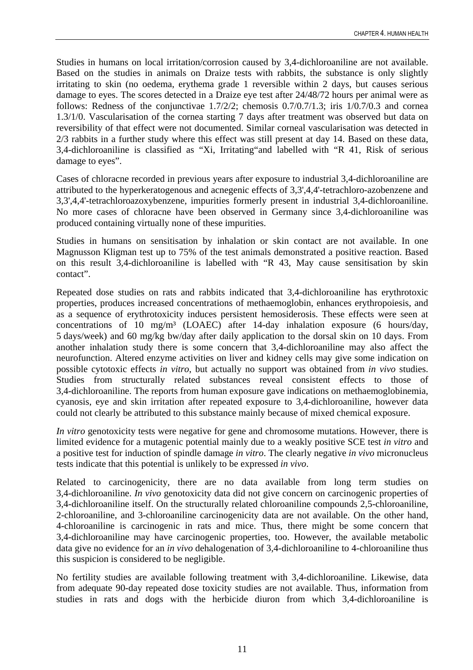Studies in humans on local irritation/corrosion caused by 3,4-dichloroaniline are not available. Based on the studies in animals on Draize tests with rabbits, the substance is only slightly irritating to skin (no oedema, erythema grade 1 reversible within 2 days, but causes serious damage to eyes. The scores detected in a Draize eye test after 24/48/72 hours per animal were as follows: Redness of the conjunctivae 1.7/2/2; chemosis 0.7/0.7/1.3; iris 1/0.7/0.3 and cornea 1.3/1/0. Vascularisation of the cornea starting 7 days after treatment was observed but data on reversibility of that effect were not documented. Similar corneal vascularisation was detected in 2/3 rabbits in a further study where this effect was still present at day 14. Based on these data, 3,4-dichloroaniline is classified as "Xi, Irritating"and labelled with "R 41, Risk of serious damage to eyes".

Cases of chloracne recorded in previous years after exposure to industrial 3,4-dichloroaniline are attributed to the hyperkeratogenous and acnegenic effects of 3,3',4,4'-tetrachloro-azobenzene and 3,3',4,4'-tetrachloroazoxybenzene, impurities formerly present in industrial 3,4-dichloroaniline. No more cases of chloracne have been observed in Germany since 3,4-dichloroaniline was produced containing virtually none of these impurities.

Studies in humans on sensitisation by inhalation or skin contact are not available. In one Magnusson Kligman test up to 75% of the test animals demonstrated a positive reaction. Based on this result 3,4-dichloroaniline is labelled with "R 43, May cause sensitisation by skin contact".

Repeated dose studies on rats and rabbits indicated that 3,4-dichloroaniline has erythrotoxic properties, produces increased concentrations of methaemoglobin, enhances erythropoiesis, and as a sequence of erythrotoxicity induces persistent hemosiderosis. These effects were seen at concentrations of 10 mg/m³ (LOAEC) after 14-day inhalation exposure (6 hours/day, 5 days/week) and 60 mg/kg bw/day after daily application to the dorsal skin on 10 days. From another inhalation study there is some concern that 3,4-dichloroaniline may also affect the neurofunction. Altered enzyme activities on liver and kidney cells may give some indication on possible cytotoxic effects *in vitro*, but actually no support was obtained from *in vivo* studies. Studies from structurally related substances reveal consistent effects to those of 3,4-dichloroaniline. The reports from human exposure gave indications on methaemoglobinemia, cyanosis, eye and skin irritation after repeated exposure to 3,4-dichloroaniline, however data could not clearly be attributed to this substance mainly because of mixed chemical exposure.

*In vitro* genotoxicity tests were negative for gene and chromosome mutations. However, there is limited evidence for a mutagenic potential mainly due to a weakly positive SCE test *in vitro* and a positive test for induction of spindle damage *in vitro*. The clearly negative *in vivo* micronucleus tests indicate that this potential is unlikely to be expressed *in vivo*.

Related to carcinogenicity, there are no data available from long term studies on 3,4-dichloroaniline. *In vivo* genotoxicity data did not give concern on carcinogenic properties of 3,4-dichloroaniline itself. On the structurally related chloroaniline compounds 2,5-chloroaniline, 2-chloroaniline, and 3-chloroaniline carcinogenicity data are not available. On the other hand, 4-chloroaniline is carcinogenic in rats and mice. Thus, there might be some concern that 3,4-dichloroaniline may have carcinogenic properties, too. However, the available metabolic data give no evidence for an *in vivo* dehalogenation of 3,4-dichloroaniline to 4-chloroaniline thus this suspicion is considered to be negligible.

No fertility studies are available following treatment with 3,4-dichloroaniline. Likewise, data from adequate 90-day repeated dose toxicity studies are not available. Thus, information from studies in rats and dogs with the herbicide diuron from which 3,4-dichloroaniline is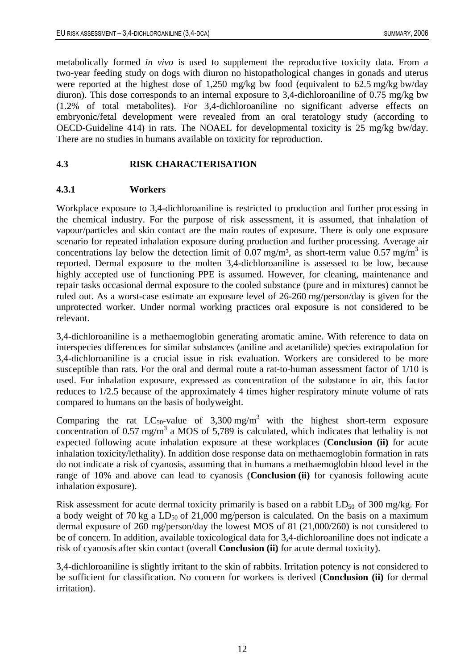metabolically formed *in vivo* is used to supplement the reproductive toxicity data. From a two-year feeding study on dogs with diuron no histopathological changes in gonads and uterus were reported at the highest dose of 1,250 mg/kg bw food (equivalent to 62.5 mg/kg bw/day diuron). This dose corresponds to an internal exposure to 3,4-dichloroaniline of 0.75 mg/kg bw (1.2% of total metabolites). For 3,4-dichloroaniline no significant adverse effects on embryonic/fetal development were revealed from an oral teratology study (according to OECD-Guideline 414) in rats. The NOAEL for developmental toxicity is 25 mg/kg bw/day. There are no studies in humans available on toxicity for reproduction.

### <span id="page-18-0"></span>**4.3 RISK CHARACTERISATION**

### <span id="page-18-1"></span>**4.3.1 Workers**

Workplace exposure to 3,4-dichloroaniline is restricted to production and further processing in the chemical industry. For the purpose of risk assessment, it is assumed, that inhalation of vapour/particles and skin contact are the main routes of exposure. There is only one exposure scenario for repeated inhalation exposure during production and further processing. Average air concentrations lay below the detection limit of 0.07 mg/m<sup>3</sup>, as short-term value  $0.57$  mg/m<sup>3</sup> is reported. Dermal exposure to the molten 3,4-dichloroaniline is assessed to be low, because highly accepted use of functioning PPE is assumed. However, for cleaning, maintenance and repair tasks occasional dermal exposure to the cooled substance (pure and in mixtures) cannot be ruled out. As a worst-case estimate an exposure level of 26-260 mg/person/day is given for the unprotected worker. Under normal working practices oral exposure is not considered to be relevant.

3,4-dichloroaniline is a methaemoglobin generating aromatic amine. With reference to data on interspecies differences for similar substances (aniline and acetanilide) species extrapolation for 3,4-dichloroaniline is a crucial issue in risk evaluation. Workers are considered to be more susceptible than rats. For the oral and dermal route a rat-to-human assessment factor of 1/10 is used. For inhalation exposure, expressed as concentration of the substance in air, this factor reduces to 1/2.5 because of the approximately 4 times higher respiratory minute volume of rats compared to humans on the basis of bodyweight.

Comparing the rat  $LC_{50}$ -value of 3,300 mg/m<sup>3</sup> with the highest short-term exposure concentration of 0.57 mg/m<sup>3</sup> a MOS of 5,789 is calculated, which indicates that lethality is not expected following acute inhalation exposure at these workplaces (**Conclusion (ii)** for acute inhalation toxicity/lethality). In addition dose response data on methaemoglobin formation in rats do not indicate a risk of cyanosis, assuming that in humans a methaemoglobin blood level in the range of 10% and above can lead to cyanosis (**Conclusion (ii)** for cyanosis following acute inhalation exposure).

Risk assessment for acute dermal toxicity primarily is based on a rabbit  $LD_{50}$  of 300 mg/kg. For a body weight of 70 kg a  $LD_{50}$  of 21,000 mg/person is calculated. On the basis on a maximum dermal exposure of 260 mg/person/day the lowest MOS of 81 (21,000/260) is not considered to be of concern. In addition, available toxicological data for 3,4-dichloroaniline does not indicate a risk of cyanosis after skin contact (overall **Conclusion (ii)** for acute dermal toxicity).

3,4-dichloroaniline is slightly irritant to the skin of rabbits. Irritation potency is not considered to be sufficient for classification. No concern for workers is derived (**Conclusion (ii)** for dermal irritation).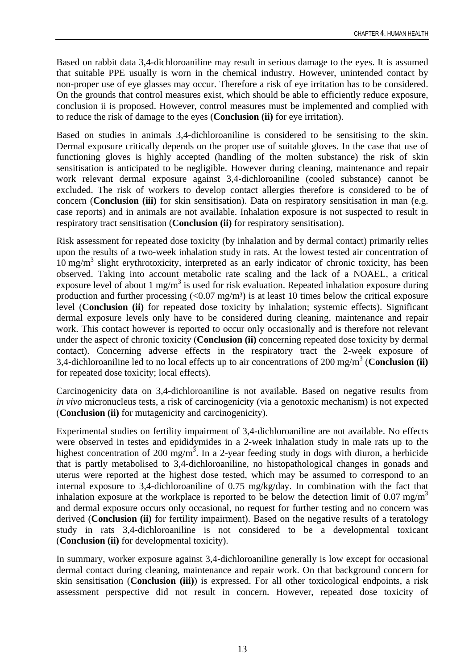Based on rabbit data 3,4-dichloroaniline may result in serious damage to the eyes. It is assumed that suitable PPE usually is worn in the chemical industry. However, unintended contact by non-proper use of eye glasses may occur. Therefore a risk of eye irritation has to be considered. On the grounds that control measures exist, which should be able to efficiently reduce exposure, conclusion ii is proposed. However, control measures must be implemented and complied with to reduce the risk of damage to the eyes (**Conclusion (ii)** for eye irritation).

Based on studies in animals 3,4-dichloroaniline is considered to be sensitising to the skin. Dermal exposure critically depends on the proper use of suitable gloves. In the case that use of functioning gloves is highly accepted (handling of the molten substance) the risk of skin sensitisation is anticipated to be negligible. However during cleaning, maintenance and repair work relevant dermal exposure against 3,4-dichloroaniline (cooled substance) cannot be excluded. The risk of workers to develop contact allergies therefore is considered to be of concern (**Conclusion (iii)** for skin sensitisation). Data on respiratory sensitisation in man (e.g. case reports) and in animals are not available. Inhalation exposure is not suspected to result in respiratory tract sensitisation (**Conclusion (ii)** for respiratory sensitisation).

Risk assessment for repeated dose toxicity (by inhalation and by dermal contact) primarily relies upon the results of a two-week inhalation study in rats. At the lowest tested air concentration of 10 mg/m<sup>3</sup> slight erythrotoxicity, interpreted as an early indicator of chronic toxicity, has been observed. Taking into account metabolic rate scaling and the lack of a NOAEL, a critical exposure level of about 1 mg/m<sup>3</sup> is used for risk evaluation. Repeated inhalation exposure during production and further processing  $\left($ <0.07 mg/m<sup>3</sup>) is at least 10 times below the critical exposure level (**Conclusion (ii)** for repeated dose toxicity by inhalation; systemic effects). Significant dermal exposure levels only have to be considered during cleaning, maintenance and repair work. This contact however is reported to occur only occasionally and is therefore not relevant under the aspect of chronic toxicity (**Conclusion (ii)** concerning repeated dose toxicity by dermal contact). Concerning adverse effects in the respiratory tract the 2-week exposure of 3,4-dichloroaniline led to no local effects up to air concentrations of 200 mg/m3 (**Conclusion (ii)** for repeated dose toxicity; local effects).

Carcinogenicity data on 3,4-dichloroaniline is not available. Based on negative results from *in vivo* micronucleus tests, a risk of carcinogenicity (via a genotoxic mechanism) is not expected (**Conclusion (ii)** for mutagenicity and carcinogenicity).

Experimental studies on fertility impairment of 3,4-dichloroaniline are not available. No effects were observed in testes and epididymides in a 2-week inhalation study in male rats up to the highest concentration of 200 mg/m<sup>3</sup>. In a 2-year feeding study in dogs with diuron, a herbicide that is partly metabolised to 3,4-dichloroaniline, no histopathological changes in gonads and uterus were reported at the highest dose tested, which may be assumed to correspond to an internal exposure to 3,4-dichloroaniline of 0.75 mg/kg/day. In combination with the fact that inhalation exposure at the workplace is reported to be below the detection limit of 0.07 mg/m<sup>3</sup> and dermal exposure occurs only occasional, no request for further testing and no concern was derived (**Conclusion (ii)** for fertility impairment). Based on the negative results of a teratology study in rats 3,4-dichloroaniline is not considered to be a developmental toxicant (**Conclusion (ii)** for developmental toxicity).

In summary, worker exposure against 3,4-dichloroaniline generally is low except for occasional dermal contact during cleaning, maintenance and repair work. On that background concern for skin sensitisation (**Conclusion (iii)**) is expressed. For all other toxicological endpoints, a risk assessment perspective did not result in concern. However, repeated dose toxicity of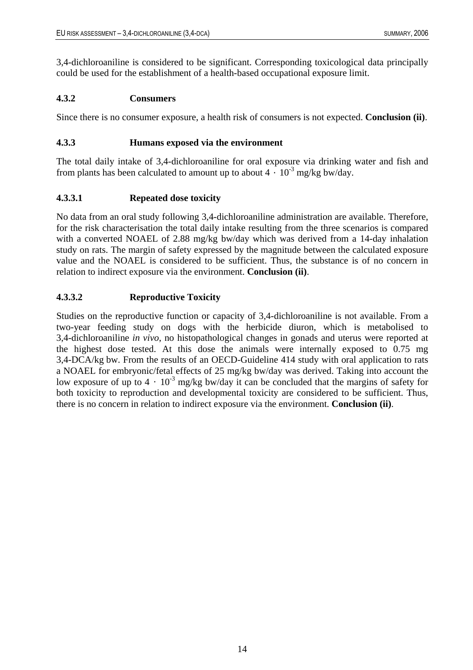3,4-dichloroaniline is considered to be significant. Corresponding toxicological data principally could be used for the establishment of a health-based occupational exposure limit.

### <span id="page-20-0"></span>**4.3.2 Consumers**

Since there is no consumer exposure, a health risk of consumers is not expected. **Conclusion (ii)**.

### <span id="page-20-1"></span>**4.3.3 Humans exposed via the environment**

The total daily intake of 3,4-dichloroaniline for oral exposure via drinking water and fish and from plants has been calculated to amount up to about  $4 \cdot 10^{-3}$  mg/kg bw/day.

### <span id="page-20-2"></span>**4.3.3.1 Repeated dose toxicity**

No data from an oral study following 3,4-dichloroaniline administration are available. Therefore, for the risk characterisation the total daily intake resulting from the three scenarios is compared with a converted NOAEL of 2.88 mg/kg bw/day which was derived from a 14-day inhalation study on rats. The margin of safety expressed by the magnitude between the calculated exposure value and the NOAEL is considered to be sufficient. Thus, the substance is of no concern in relation to indirect exposure via the environment. **Conclusion (ii)**.

### <span id="page-20-3"></span>**4.3.3.2 Reproductive Toxicity**

Studies on the reproductive function or capacity of 3,4-dichloroaniline is not available. From a two-year feeding study on dogs with the herbicide diuron, which is metabolised to 3,4-dichloroaniline *in vivo*, no histopathological changes in gonads and uterus were reported at the highest dose tested. At this dose the animals were internally exposed to 0.75 mg 3,4-DCA/kg bw. From the results of an OECD-Guideline 414 study with oral application to rats a NOAEL for embryonic/fetal effects of 25 mg/kg bw/day was derived. Taking into account the low exposure of up to  $4 \cdot 10^{-3}$  mg/kg bw/day it can be concluded that the margins of safety for both toxicity to reproduction and developmental toxicity are considered to be sufficient. Thus, there is no concern in relation to indirect exposure via the environment. **Conclusion (ii)**.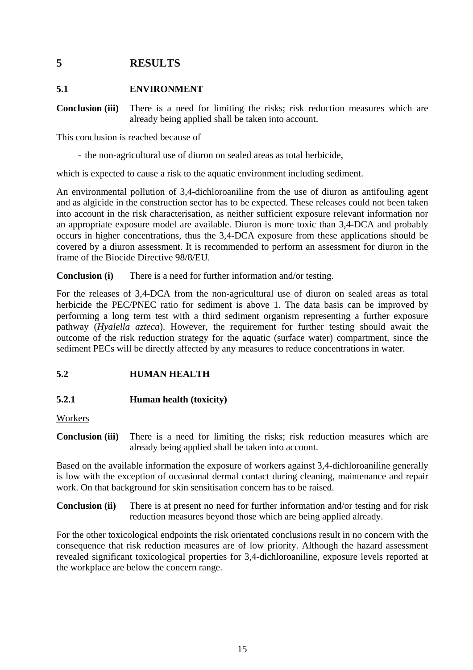# <span id="page-21-0"></span>**5 RESULTS**

#### <span id="page-21-1"></span>**5.1 ENVIRONMENT**

**Conclusion (iii)** There is a need for limiting the risks; risk reduction measures which are already being applied shall be taken into account.

This conclusion is reached because of

- the non-agricultural use of diuron on sealed areas as total herbicide,

which is expected to cause a risk to the aquatic environment including sediment.

An environmental pollution of 3,4-dichloroaniline from the use of diuron as antifouling agent and as algicide in the construction sector has to be expected. These releases could not been taken into account in the risk characterisation, as neither sufficient exposure relevant information nor an appropriate exposure model are available. Diuron is more toxic than 3,4-DCA and probably occurs in higher concentrations, thus the 3,4-DCA exposure from these applications should be covered by a diuron assessment. It is recommended to perform an assessment for diuron in the frame of the Biocide Directive 98/8/EU.

**Conclusion (i)** There is a need for further information and/or testing.

For the releases of 3,4-DCA from the non-agricultural use of diuron on sealed areas as total herbicide the PEC/PNEC ratio for sediment is above 1. The data basis can be improved by performing a long term test with a third sediment organism representing a further exposure pathway (*Hyalella azteca*). However, the requirement for further testing should await the outcome of the risk reduction strategy for the aquatic (surface water) compartment, since the sediment PECs will be directly affected by any measures to reduce concentrations in water.

### <span id="page-21-2"></span>**5.2 HUMAN HEALTH**

### <span id="page-21-3"></span>**5.2.1 Human health (toxicity)**

#### Workers

**Conclusion (iii)** There is a need for limiting the risks; risk reduction measures which are already being applied shall be taken into account.

Based on the available information the exposure of workers against 3,4-dichloroaniline generally is low with the exception of occasional dermal contact during cleaning, maintenance and repair work. On that background for skin sensitisation concern has to be raised.

**Conclusion (ii)** There is at present no need for further information and/or testing and for risk reduction measures beyond those which are being applied already.

For the other toxicological endpoints the risk orientated conclusions result in no concern with the consequence that risk reduction measures are of low priority. Although the hazard assessment revealed significant toxicological properties for 3,4-dichloroaniline, exposure levels reported at the workplace are below the concern range.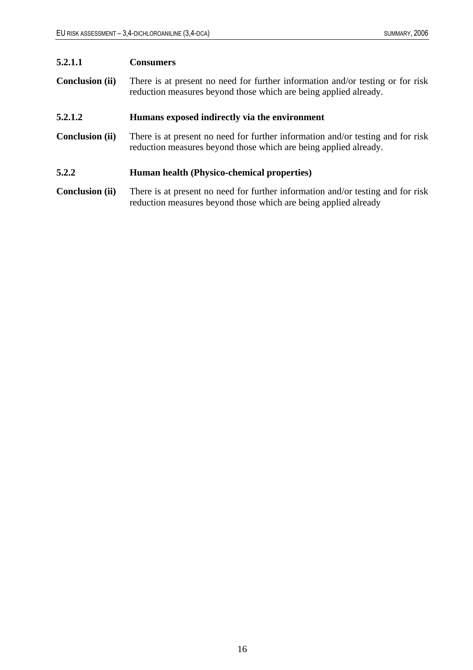### <span id="page-22-0"></span>**5.2.1.1 Consumers**

**Conclusion (ii)** There is at present no need for further information and/or testing or for risk reduction measures beyond those which are being applied already.

#### <span id="page-22-1"></span>**5.2.1.2 Humans exposed indirectly via the environment**

**Conclusion (ii)** There is at present no need for further information and/or testing and for risk reduction measures beyond those which are being applied already.

### <span id="page-22-2"></span>**5.2.2 Human health (Physico-chemical properties)**

**Conclusion (ii)** There is at present no need for further information and/or testing and for risk reduction measures beyond those which are being applied already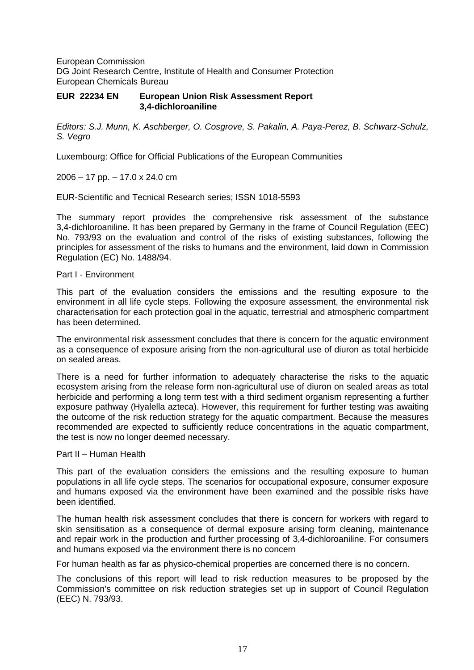European Commission DG Joint Research Centre, Institute of Health and Consumer Protection European Chemicals Bureau

#### **EUR 22234 EN European Union Risk Assessment Report 3,4-dichloroaniline**

*Editors: S.J. Munn, K. Aschberger, O. Cosgrove, S. Pakalin, A. Paya-Perez, B. Schwarz-Schulz, S. Vegro* 

Luxembourg: Office for Official Publications of the European Communities

2006 – 17 pp. – 17.0 x 24.0 cm

EUR-Scientific and Tecnical Research series; ISSN 1018-5593

The summary report provides the comprehensive risk assessment of the substance 3,4-dichloroaniline. It has been prepared by Germany in the frame of Council Regulation (EEC) No. 793/93 on the evaluation and control of the risks of existing substances, following the principles for assessment of the risks to humans and the environment, laid down in Commission Regulation (EC) No. 1488/94.

#### Part I - Environment

This part of the evaluation considers the emissions and the resulting exposure to the environment in all life cycle steps. Following the exposure assessment, the environmental risk characterisation for each protection goal in the aquatic, terrestrial and atmospheric compartment has been determined.

The environmental risk assessment concludes that there is concern for the aquatic environment as a consequence of exposure arising from the non-agricultural use of diuron as total herbicide on sealed areas.

There is a need for further information to adequately characterise the risks to the aquatic ecosystem arising from the release form non-agricultural use of diuron on sealed areas as total herbicide and performing a long term test with a third sediment organism representing a further exposure pathway (Hyalella azteca). However, this requirement for further testing was awaiting the outcome of the risk reduction strategy for the aquatic compartment. Because the measures recommended are expected to sufficiently reduce concentrations in the aquatic compartment, the test is now no longer deemed necessary.

#### Part II – Human Health

This part of the evaluation considers the emissions and the resulting exposure to human populations in all life cycle steps. The scenarios for occupational exposure, consumer exposure and humans exposed via the environment have been examined and the possible risks have been identified.

The human health risk assessment concludes that there is concern for workers with regard to skin sensitisation as a consequence of dermal exposure arising form cleaning, maintenance and repair work in the production and further processing of 3,4-dichloroaniline. For consumers and humans exposed via the environment there is no concern

For human health as far as physico-chemical properties are concerned there is no concern.

The conclusions of this report will lead to risk reduction measures to be proposed by the Commission's committee on risk reduction strategies set up in support of Council Regulation (EEC) N. 793/93.